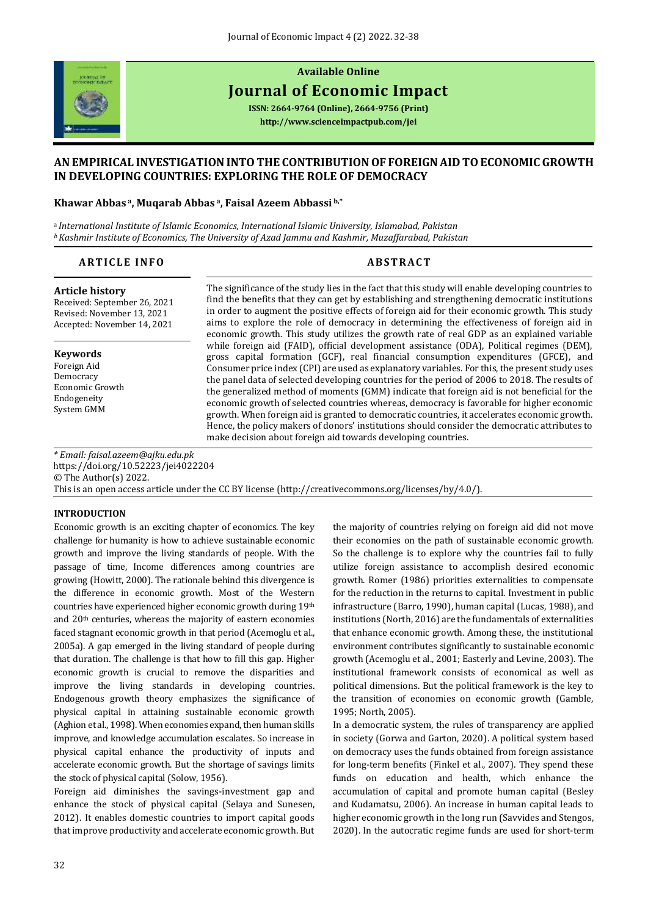

# **Available Online**

## **Journal of Economic Impact**

**ISSN: 2664-9764 (Online), 2664-9756 (Print) <http://www.scienceimpactpub.com/jei>**

## **AN EMPIRICAL INVESTIGATION INTO THE CONTRIBUTION OF FOREIGN AID TO ECONOMIC GROWTH IN DEVELOPING COUNTRIES: EXPLORING THE ROLE OF DEMOCRACY**

#### **Khawar Abbas <sup>a</sup>, Muqarab Abbas <sup>a</sup>, Faisal Azeem Abbassi b,\***

<sup>a</sup>*International Institute of Islamic Economics, International Islamic University, Islamabad, Pakistan <sup>b</sup>Kashmir Institute of Economics, The University of Azad Jammu and Kashmir, Muzaffarabad, Pakistan*

#### **ARTICLE INFO ABSTRACT**

#### **Article history**

Received: September 26, 2021 Revised: November 13, 2021 Accepted: November 14, 2021

#### **Keywords**

Foreign Aid Democracy Economic Growth Endogeneity System GMM

The significance of the study lies in the fact that this study will enable developing countries to find the benefits that they can get by establishing and strengthening democratic institutions in order to augment the positive effects of foreign aid for their economic growth. This study aims to explore the role of democracy in determining the effectiveness of foreign aid in economic growth. This study utilizes the growth rate of real GDP as an explained variable while foreign aid (FAID), official development assistance (ODA), Political regimes (DEM), gross capital formation (GCF), real financial consumption expenditures (GFCE), and Consumer price index (CPI) are used as explanatory variables. For this, the present study uses the panel data of selected developing countries for the period of 2006 to 2018. The results of the generalized method of moments (GMM) indicate that foreign aid is not beneficial for the economic growth of selected countries whereas, democracy is favorable for higher economic growth. When foreign aid is granted to democratic countries, it accelerates economic growth. Hence, the policy makers of donors' institutions should consider the democratic attributes to make decision about foreign aid towards developing countries.

*\* Email[: faisal.azeem@ajku.edu.pk](mailto:faisal.azeem@ajku.edu.pk)* <https://doi.org/10.52223/jei4022204> © The Author(s) 2022. This is an open access article under the CC BY license [\(http://creativecommons.org/licenses/by/4.0/\)](http://creativecommons.org/licenses/by/4.0/).

#### **INTRODUCTION**

Economic growth is an exciting chapter of economics. The key challenge for humanity is how to achieve sustainable economic growth and improve the living standards of people. With the passage of time, Income differences among countries are growing (Howitt, 2000). The rationale behind this divergence is the difference in economic growth. Most of the Western countries have experienced higher economic growth during 19th and 20th centuries, whereas the majority of eastern economies faced stagnant economic growth in that period (Acemoglu et al., 2005a). A gap emerged in the living standard of people during that duration. The challenge is that how to fill this gap. Higher economic growth is crucial to remove the disparities and improve the living standards in developing countries. Endogenous growth theory emphasizes the significance of physical capital in attaining sustainable economic growth (Aghion et al., 1998). When economies expand, then human skills improve, and knowledge accumulation escalates. So increase in physical capital enhance the productivity of inputs and accelerate economic growth. But the shortage of savings limits the stock of physical capital (Solow, 1956).

Foreign aid diminishes the savings-investment gap and enhance the stock of physical capital (Selaya and Sunesen, 2012). It enables domestic countries to import capital goods that improve productivity and accelerate economic growth. But the majority of countries relying on foreign aid did not move their economies on the path of sustainable economic growth. So the challenge is to explore why the countries fail to fully utilize foreign assistance to accomplish desired economic growth. Romer (1986) priorities externalities to compensate for the reduction in the returns to capital. Investment in public infrastructure (Barro, 1990), human capital (Lucas, 1988), and institutions (North, 2016) are the fundamentals of externalities that enhance economic growth. Among these, the institutional environment contributes significantly to sustainable economic growth (Acemoglu et al., 2001; Easterly and Levine, 2003). The institutional framework consists of economical as well as political dimensions. But the political framework is the key to the transition of economies on economic growth (Gamble, 1995; North, 2005).

In a democratic system, the rules of transparency are applied in society (Gorwa and Garton, 2020). A political system based on democracy uses the funds obtained from foreign assistance for long-term benefits (Finkel et al., 2007). They spend these funds on education and health, which enhance the accumulation of capital and promote human capital (Besley and Kudamatsu, 2006). An increase in human capital leads to higher economic growth in the long run (Savvides and Stengos, 2020). In the autocratic regime funds are used for short-term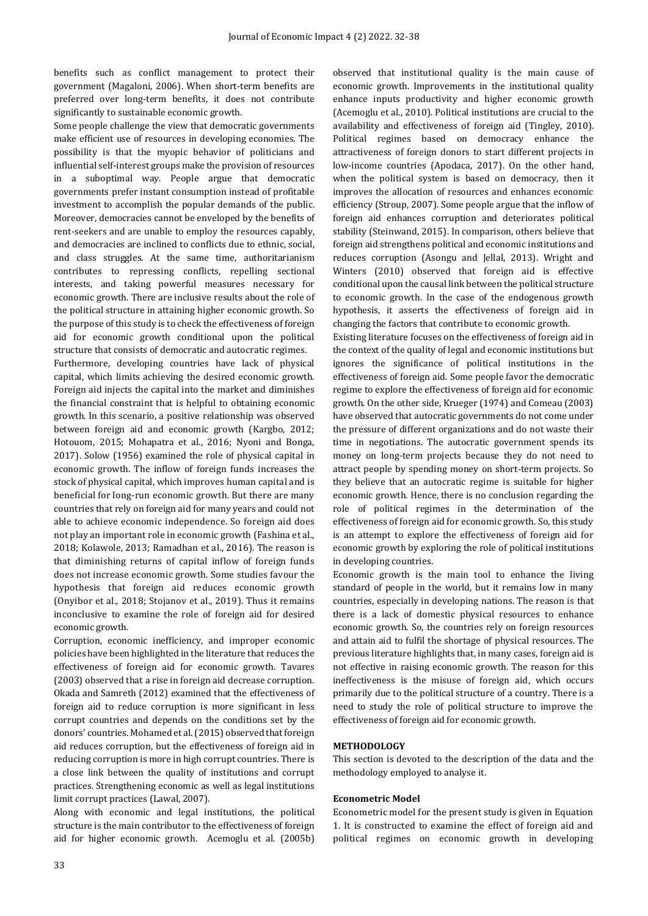benefits such as conflict management to protect their government (Magaloni, 2006). When short-term benefits are preferred over long-term benefits, it does not contribute significantly to sustainable economic growth.

Some people challenge the view that democratic governments make efficient use of resources in developing economies. The possibility is that the myopic behavior of politicians and influential self-interest groups make the provision of resources in a suboptimal way. People argue that democratic governments prefer instant consumption instead of profitable investment to accomplish the popular demands of the public. Moreover, democracies cannot be enveloped by the benefits of rent-seekers and are unable to employ the resources capably, and democracies are inclined to conflicts due to ethnic, social, and class struggles. At the same time, authoritarianism contributes to repressing conflicts, repelling sectional interests, and taking powerful measures necessary for economic growth. There are inclusive results about the role of the political structure in attaining higher economic growth. So the purpose of this study is to check the effectiveness of foreign aid for economic growth conditional upon the political structure that consists of democratic and autocratic regimes.

Furthermore, developing countries have lack of physical capital, which limits achieving the desired economic growth. Foreign aid injects the capital into the market and diminishes the financial constraint that is helpful to obtaining economic growth. In this scenario, a positive relationship was observed between foreign aid and economic growth (Kargbo, 2012; Hotouom, 2015; Mohapatra et al., 2016; Nyoni and Bonga, 2017). Solow (1956) examined the role of physical capital in economic growth. The inflow of foreign funds increases the stock of physical capital, which improves human capital and is beneficial for long-run economic growth. But there are many countries that rely on foreign aid for many years and could not able to achieve economic independence. So foreign aid does not play an important role in economic growth (Fashina et al., 2018; Kolawole, 2013; Ramadhan et al., 2016). The reason is that diminishing returns of capital inflow of foreign funds does not increase economic growth. Some studies favour the hypothesis that foreign aid reduces economic growth (Onyibor et al., 2018; Stojanov et al., 2019). Thus it remains inconclusive to examine the role of foreign aid for desired economic growth.

Corruption, economic inefficiency, and improper economic policies have been highlighted in the literature that reduces the effectiveness of foreign aid for economic growth. Tavares (2003) observed that a rise in foreign aid decrease corruption. Okada and Samreth (2012) examined that the effectiveness of foreign aid to reduce corruption is more significant in less corrupt countries and depends on the conditions set by the donors' countries. Mohamed et al. (2015) observed that foreign aid reduces corruption, but the effectiveness of foreign aid in reducing corruption is more in high corrupt countries. There is a close link between the quality of institutions and corrupt practices. Strengthening economic as well as legal institutions limit corrupt practices (Lawal, 2007).

Along with economic and legal institutions, the political structure is the main contributor to the effectiveness of foreign aid for higher economic growth. Acemoglu et al. (2005b) observed that institutional quality is the main cause of economic growth. Improvements in the institutional quality enhance inputs productivity and higher economic growth (Acemoglu et al., 2010). Political institutions are crucial to the availability and effectiveness of foreign aid (Tingley, 2010). Political regimes based on democracy enhance the attractiveness of foreign donors to start different projects in low-income countries (Apodaca, 2017). On the other hand, when the political system is based on democracy, then it improves the allocation of resources and enhances economic efficiency (Stroup, 2007). Some people argue that the inflow of foreign aid enhances corruption and deteriorates political stability (Steinwand, 2015). In comparison, others believe that foreign aid strengthens political and economic institutions and reduces corruption (Asongu and Jellal, 2013). Wright and Winters (2010) observed that foreign aid is effective conditional upon the causal link between the political structure to economic growth. In the case of the endogenous growth hypothesis, it asserts the effectiveness of foreign aid in changing the factors that contribute to economic growth.

Existing literature focuses on the effectiveness of foreign aid in the context of the quality of legal and economic institutions but ignores the significance of political institutions in the effectiveness of foreign aid. Some people favor the democratic regime to explore the effectiveness of foreign aid for economic growth. On the other side, Krueger (1974) and Comeau (2003) have observed that autocratic governments do not come under the pressure of different organizations and do not waste their time in negotiations. The autocratic government spends its money on long-term projects because they do not need to attract people by spending money on short-term projects. So they believe that an autocratic regime is suitable for higher economic growth. Hence, there is no conclusion regarding the role of political regimes in the determination of the effectiveness of foreign aid for economic growth. So, this study is an attempt to explore the effectiveness of foreign aid for economic growth by exploring the role of political institutions in developing countries.

Economic growth is the main tool to enhance the living standard of people in the world, but it remains low in many countries, especially in developing nations. The reason is that there is a lack of domestic physical resources to enhance economic growth. So, the countries rely on foreign resources and attain aid to fulfil the shortage of physical resources. The previous literature highlights that, in many cases, foreign aid is not effective in raising economic growth. The reason for this ineffectiveness is the misuse of foreign aid, which occurs primarily due to the political structure of a country. There is a need to study the role of political structure to improve the effectiveness of foreign aid for economic growth.

### **METHODOLOGY**

This section is devoted to the description of the data and the methodology employed to analyse it.

#### **Econometric Model**

Econometric model for the present study is given in Equation 1. It is constructed to examine the effect of foreign aid and political regimes on economic growth in developing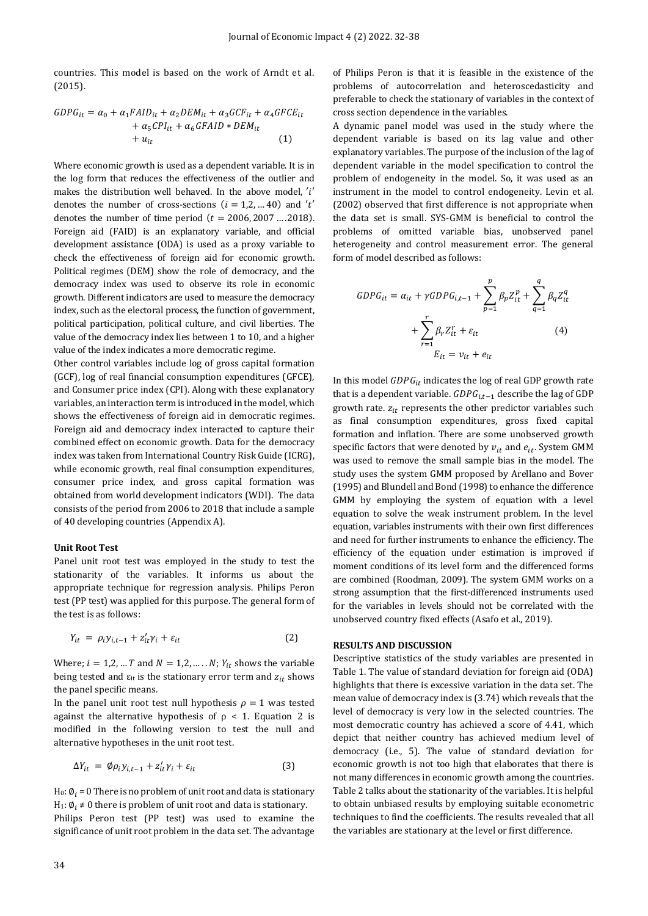countries. This model is based on the work of Arndt et al. (2015).

$$
GDPG_{it} = \alpha_0 + \alpha_1 F AID_{it} + \alpha_2 DEM_{it} + \alpha_3 GCF_{it} + \alpha_4 GFCE_{it}
$$
  
+  $\alpha_5 CPI_{it} + \alpha_6 GFAID * DEM_{it}$   
+  $u_{it}$  (1)

Where economic growth is used as a dependent variable. It is in the log form that reduces the effectiveness of the outlier and makes the distribution well behaved. In the above model, 'i' denotes the number of cross-sections  $(i = 1, 2, ... 40)$  and 't' denotes the number of time period  $(t = 2006, 2007 \dots 2018)$ . Foreign aid (FAID) is an explanatory variable, and official development assistance (ODA) is used as a proxy variable to check the effectiveness of foreign aid for economic growth. Political regimes (DEM) show the role of democracy, and the democracy index was used to observe its role in economic growth. Different indicators are used to measure the democracy index, such as the electoral process, the function of government, political participation, political culture, and civil liberties. The value of the democracy index lies between 1 to 10, and a higher value of the index indicates a more democratic regime.

Other control variables include log of gross capital formation (GCF), log of real financial consumption expenditures (GFCE), and Consumer price index (CPI). Along with these explanatory variables, an interaction term is introduced in the model, which shows the effectiveness of foreign aid in democratic regimes. Foreign aid and democracy index interacted to capture their combined effect on economic growth. Data for the democracy index was taken from International Country Risk Guide (ICRG), while economic growth, real final consumption expenditures, consumer price index, and gross capital formation was obtained from world development indicators (WDI). The data consists of the period from 2006 to 2018 that include a sample of 40 developing countries (Appendix A).

#### **Unit Root Test**

Panel unit root test was employed in the study to test the stationarity of the variables. It informs us about the appropriate technique for regression analysis. Philips Peron test (PP test) was applied for this purpose. The general form of the test is as follows:

$$
Y_{it} = \rho_i y_{i,t-1} + z'_{it} \gamma_i + \varepsilon_{it} \tag{2}
$$

Where;  $i = 1,2,...T$  and  $N = 1,2,...N$ ;  $Y_{it}$  shows the variable being tested and  $\varepsilon_{it}$  is the stationary error term and  $z_{it}$  shows the panel specific means.

In the panel unit root test null hypothesis  $\rho = 1$  was tested against the alternative hypothesis of  $\rho < 1$ . Equation 2 is modified in the following version to test the null and alternative hypotheses in the unit root test.

$$
\Delta Y_{it} = \emptyset \rho_i y_{i,t-1} + z'_{it} \gamma_i + \varepsilon_{it} \tag{3}
$$

H<sub>0</sub>:  $\phi_i$  = 0 There is no problem of unit root and data is stationary H<sub>1</sub>:  $\emptyset_i \neq 0$  there is problem of unit root and data is stationary. Philips Peron test (PP test) was used to examine the significance of unit root problem in the data set. The advantage of Philips Peron is that it is feasible in the existence of the problems of autocorrelation and heteroscedasticity and preferable to check the stationary of variables in the context of cross section dependence in the variables.

A dynamic panel model was used in the study where the dependent variable is based on its lag value and other explanatory variables. The purpose of the inclusion of the lag of dependent variable in the model specification to control the problem of endogeneity in the model. So, it was used as an instrument in the model to control endogeneity. Levin et al. (2002) observed that first difference is not appropriate when the data set is small. SYS-GMM is beneficial to control the problems of omitted variable bias, unobserved panel heterogeneity and control measurement error. The general form of model described as follows:

$$
GDPG_{it} = \alpha_{it} + \gamma GDPG_{i,t-1} + \sum_{p=1}^{p} \beta_p Z_{it}^p + \sum_{q=1}^{q} \beta_q Z_{it}^q
$$

$$
+ \sum_{r=1}^{r} \beta_r Z_{it}^r + \varepsilon_{it} \tag{4}
$$

$$
E_{it} = v_{it} + e_{it}
$$

In this model  $GDPG_{it}$  indicates the log of real GDP growth rate that is a dependent variable.  $GDPG_{i,t-1}$  describe the lag of GDP growth rate.  $z_{it}$  represents the other predictor variables such as final consumption expenditures, gross fixed capital formation and inflation. There are some unobserved growth specific factors that were denoted by  $v_{it}$  and  $e_{it}$ . System GMM was used to remove the small sample bias in the model. The study uses the system GMM proposed by Arellano and Bover (1995) and Blundell and Bond (1998) to enhance the difference GMM by employing the system of equation with a level equation to solve the weak instrument problem. In the level equation, variables instruments with their own first differences and need for further instruments to enhance the efficiency. The efficiency of the equation under estimation is improved if moment conditions of its level form and the differenced forms are combined (Roodman, 2009). The system GMM works on a strong assumption that the first-differenced instruments used for the variables in levels should not be correlated with the unobserved country fixed effects (Asafo et al., 2019).

#### **RESULTS AND DISCUSSION**

Descriptive statistics of the study variables are presented in Table 1. The value of standard deviation for foreign aid (ODA) highlights that there is excessive variation in the data set. The mean value of democracy index is (3.74) which reveals that the level of democracy is very low in the selected countries. The most democratic country has achieved a score of 4.41, which depict that neither country has achieved medium level of democracy (i.e., 5). The value of standard deviation for economic growth is not too high that elaborates that there is not many differences in economic growth among the countries. Table 2 talks about the stationarity of the variables. It is helpful to obtain unbiased results by employing suitable econometric techniques to find the coefficients. The results revealed that all the variables are stationary at the level or first difference.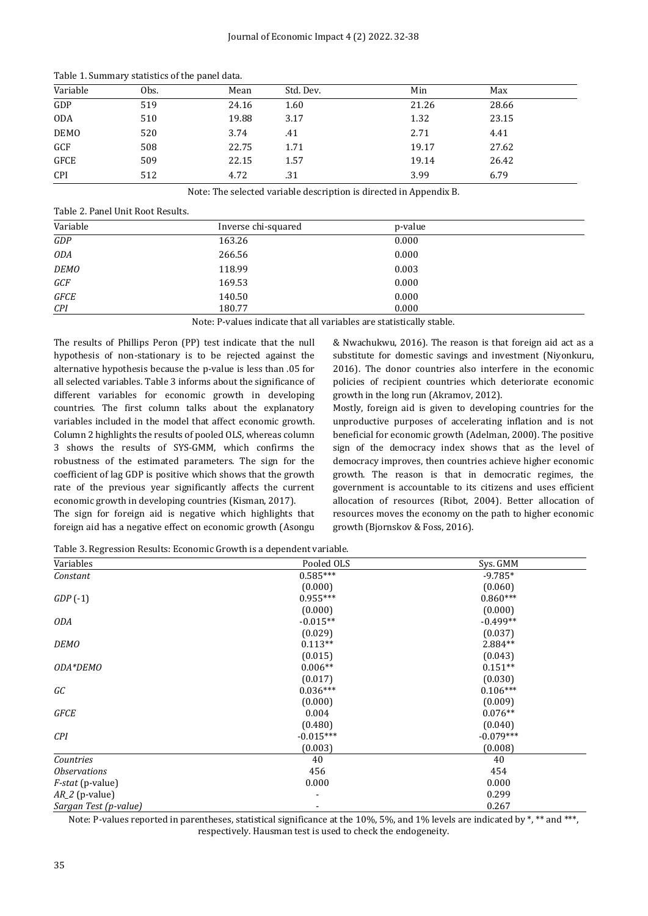| Tuble 1. Bullillary Beatlettes of the pailor autor |      |       |           |       |       |  |
|----------------------------------------------------|------|-------|-----------|-------|-------|--|
| Variable                                           | Obs. | Mean  | Std. Dev. | Min   | Max   |  |
| GDP                                                | 519  | 24.16 | 1.60      | 21.26 | 28.66 |  |
| <b>ODA</b>                                         | 510  | 19.88 | 3.17      | 1.32  | 23.15 |  |
| <b>DEMO</b>                                        | 520  | 3.74  | .41       | 2.71  | 4.41  |  |
| GCF                                                | 508  | 22.75 | 1.71      | 19.17 | 27.62 |  |
| <b>GFCE</b>                                        | 509  | 22.15 | 1.57      | 19.14 | 26.42 |  |
| <b>CPI</b>                                         | 512  | 4.72  | .31       | 3.99  | 6.79  |  |

Table 1. Summary statistics of the panel data.

Note: The selected variable description is directed in Appendix B.

Table 2. Panel Unit Root Results.

| Variable    | Inverse chi-squared | p-value |  |
|-------------|---------------------|---------|--|
| GDP         | 163.26              | 0.000   |  |
| <b>ODA</b>  | 266.56              | 0.000   |  |
| <b>DEMO</b> | 118.99              | 0.003   |  |
| GCF         | 169.53              | 0.000   |  |
| GFCE        | 140.50              | 0.000   |  |
| CPI         | 180.77              | 0.000   |  |

Note: P-values indicate that all variables are statistically stable.

The results of Phillips Peron (PP) test indicate that the null hypothesis of non-stationary is to be rejected against the alternative hypothesis because the p-value is less than .05 for all selected variables. Table 3 informs about the significance of different variables for economic growth in developing countries. The first column talks about the explanatory variables included in the model that affect economic growth. Column 2 highlights the results of pooled OLS, whereas column 3 shows the results of SYS-GMM, which confirms the robustness of the estimated parameters. The sign for the coefficient of lag GDP is positive which shows that the growth rate of the previous year significantly affects the current economic growth in developing countries (Kisman, 2017).

The sign for foreign aid is negative which highlights that foreign aid has a negative effect on economic growth (Asongu & Nwachukwu, 2016). The reason is that foreign aid act as a substitute for domestic savings and investment (Niyonkuru, 2016). The donor countries also interfere in the economic policies of recipient countries which deteriorate economic growth in the long run (Akramov, 2012).

Mostly, foreign aid is given to developing countries for the unproductive purposes of accelerating inflation and is not beneficial for economic growth (Adelman, 2000). The positive sign of the democracy index shows that as the level of democracy improves, then countries achieve higher economic growth. The reason is that in democratic regimes, the government is accountable to its citizens and uses efficient allocation of resources (Ribot, 2004). Better allocation of resources moves the economy on the path to higher economic growth (Bjornskov & Foss, 2016).

Table 3. Regression Results: Economic Growth is a dependent variable.

| Variables                  | Pooled OLS  | Sys. GMM    |
|----------------------------|-------------|-------------|
| Constant                   | $0.585***$  | $-9.785*$   |
|                            | (0.000)     | (0.060)     |
| $GDP(-1)$                  | $0.955***$  | $0.860***$  |
|                            | (0.000)     | (0.000)     |
| ODA                        | $-0.015**$  | $-0.499**$  |
|                            | (0.029)     | (0.037)     |
| <b>DEMO</b>                | $0.113**$   | 2.884**     |
|                            | (0.015)     | (0.043)     |
| ODA*DEMO                   | $0.006**$   | $0.151**$   |
|                            | (0.017)     | (0.030)     |
| GC                         | $0.036***$  | $0.106***$  |
|                            | (0.000)     | (0.009)     |
| GFCE                       | 0.004       | $0.076**$   |
|                            | (0.480)     | (0.040)     |
| <b>CPI</b>                 | $-0.015***$ | $-0.079***$ |
|                            | (0.003)     | (0.008)     |
| Countries                  | 40          | 40          |
| <i><b>Observations</b></i> | 456         | 454         |
| $F\text{-}stat$ (p-value)  | 0.000       | 0.000       |
| $AR_2$ (p-value)           |             | 0.299       |
| Sargan Test (p-value)      |             | 0.267       |

Note: P-values reported in parentheses, statistical significance at the 10%, 5%, and 1% levels are indicated by \*, \*\* and \*\*\*, respectively. Hausman test is used to check the endogeneity.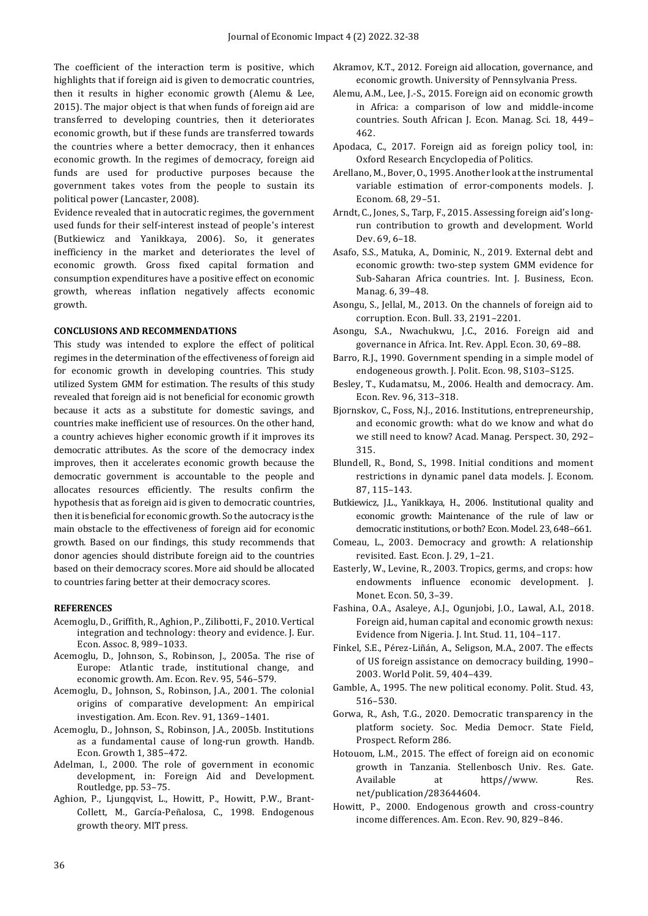The coefficient of the interaction term is positive, which highlights that if foreign aid is given to democratic countries, then it results in higher economic growth (Alemu & Lee, 2015). The major object is that when funds of foreign aid are transferred to developing countries, then it deteriorates economic growth, but if these funds are transferred towards the countries where a better democracy, then it enhances economic growth. In the regimes of democracy, foreign aid funds are used for productive purposes because the government takes votes from the people to sustain its political power (Lancaster, 2008).

Evidence revealed that in autocratic regimes, the government used funds for their self-interest instead of people's interest (Butkiewicz and Yanikkaya, 2006). So, it generates inefficiency in the market and deteriorates the level of economic growth. Gross fixed capital formation and consumption expenditures have a positive effect on economic growth, whereas inflation negatively affects economic growth.

#### **CONCLUSIONS AND RECOMMENDATIONS**

This study was intended to explore the effect of political regimes in the determination of the effectiveness of foreign aid for economic growth in developing countries. This study utilized System GMM for estimation. The results of this study revealed that foreign aid is not beneficial for economic growth because it acts as a substitute for domestic savings, and countries make inefficient use of resources. On the other hand, a country achieves higher economic growth if it improves its democratic attributes. As the score of the democracy index improves, then it accelerates economic growth because the democratic government is accountable to the people and allocates resources efficiently. The results confirm the hypothesis that as foreign aid is given to democratic countries, then it is beneficial for economic growth. So the autocracy is the main obstacle to the effectiveness of foreign aid for economic growth. Based on our findings, this study recommends that donor agencies should distribute foreign aid to the countries based on their democracy scores. More aid should be allocated to countries faring better at their democracy scores.

#### **REFERENCES**

- Acemoglu, D., Griffith, R., Aghion, P., Zilibotti, F., 2010. Vertical integration and technology: theory and evidence. J. Eur. Econ. Assoc. 8, 989–1033.
- Acemoglu, D., Johnson, S., Robinson, J., 2005a. The rise of Europe: Atlantic trade, institutional change, and economic growth. Am. Econ. Rev. 95, 546–579.
- Acemoglu, D., Johnson, S., Robinson, J.A., 2001. The colonial origins of comparative development: An empirical investigation. Am. Econ. Rev. 91, 1369–1401.
- Acemoglu, D., Johnson, S., Robinson, J.A., 2005b. Institutions as a fundamental cause of long-run growth. Handb. Econ. Growth 1, 385–472.
- Adelman, I., 2000. The role of government in economic development, in: Foreign Aid and Development. Routledge, pp. 53–75.
- Aghion, P., Ljungqvist, L., Howitt, P., Howitt, P.W., Brant-Collett, M., García-Peñalosa, C., 1998. Endogenous growth theory. MIT press.
- Akramov, K.T., 2012. Foreign aid allocation, governance, and economic growth. University of Pennsylvania Press.
- Alemu, A.M., Lee, J.-S., 2015. Foreign aid on economic growth in Africa: a comparison of low and middle-income countries. South African J. Econ. Manag. Sci. 18, 449– 462.
- Apodaca, C., 2017. Foreign aid as foreign policy tool, in: Oxford Research Encyclopedia of Politics.
- Arellano, M., Bover, O., 1995. Another look at the instrumental variable estimation of error-components models. J. Econom. 68, 29–51.
- Arndt, C., Jones, S., Tarp, F., 2015. Assessing foreign aid's longrun contribution to growth and development. World Dev. 69, 6–18.
- Asafo, S.S., Matuka, A., Dominic, N., 2019. External debt and economic growth: two-step system GMM evidence for Sub-Saharan Africa countries. Int. J. Business, Econ. Manag. 6, 39–48.
- Asongu, S., Jellal, M., 2013. On the channels of foreign aid to corruption. Econ. Bull. 33, 2191–2201.
- Asongu, S.A., Nwachukwu, J.C., 2016. Foreign aid and governance in Africa. Int. Rev. Appl. Econ. 30, 69–88.
- Barro, R.J., 1990. Government spending in a simple model of endogeneous growth. J. Polit. Econ. 98, S103–S125.
- Besley, T., Kudamatsu, M., 2006. Health and democracy. Am. Econ. Rev. 96, 313–318.
- Bjornskov, C., Foss, N.J., 2016. Institutions, entrepreneurship, and economic growth: what do we know and what do we still need to know? Acad. Manag. Perspect. 30, 292– 315.
- Blundell, R., Bond, S., 1998. Initial conditions and moment restrictions in dynamic panel data models. J. Econom. 87, 115–143.
- Butkiewicz, J.L., Yanikkaya, H., 2006. Institutional quality and economic growth: Maintenance of the rule of law or democratic institutions, or both? Econ. Model. 23, 648–661.
- Comeau, L., 2003. Democracy and growth: A relationship revisited. East. Econ. J. 29, 1–21.
- Easterly, W., Levine, R., 2003. Tropics, germs, and crops: how endowments influence economic development. J. Monet. Econ. 50, 3–39.
- Fashina, O.A., Asaleye, A.J., Ogunjobi, J.O., Lawal, A.I., 2018. Foreign aid, human capital and economic growth nexus: Evidence from Nigeria. J. Int. Stud. 11, 104–117.
- Finkel, S.E., Pérez-Liñán, A., Seligson, M.A., 2007. The effects of US foreign assistance on democracy building, 1990– 2003. World Polit. 59, 404–439.
- Gamble, A., 1995. The new political economy. Polit. Stud. 43, 516–530.
- Gorwa, R., Ash, T.G., 2020. Democratic transparency in the platform society. Soc. Media Democr. State Field, Prospect. Reform 286.
- Hotouom, L.M., 2015. The effect of foreign aid on economic growth in Tanzania. Stellenbosch Univ. Res. Gate. Available at https//www. Res. net/publication/283644604.
- Howitt, P., 2000. Endogenous growth and cross-country income differences. Am. Econ. Rev. 90, 829–846.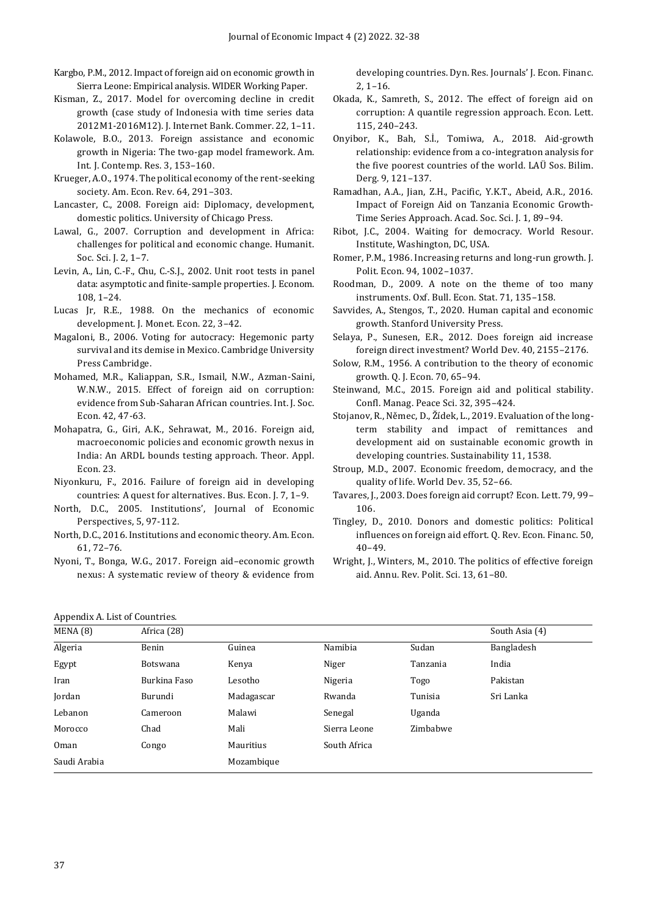- Kargbo, P.M., 2012. Impact of foreign aid on economic growth in Sierra Leone: Empirical analysis. WIDER Working Paper.
- Kisman, Z., 2017. Model for overcoming decline in credit growth (case study of Indonesia with time series data 2012M1-2016M12). J. Internet Bank. Commer. 22, 1–11.
- Kolawole, B.O., 2013. Foreign assistance and economic growth in Nigeria: The two-gap model framework. Am. Int. J. Contemp. Res. 3, 153–160.
- Krueger, A.O., 1974. The political economy of the rent-seeking society. Am. Econ. Rev. 64, 291–303.
- Lancaster, C., 2008. Foreign aid: Diplomacy, development, domestic politics. University of Chicago Press.
- Lawal, G., 2007. Corruption and development in Africa: challenges for political and economic change. Humanit. Soc. Sci. J. 2, 1–7.
- Levin, A., Lin, C.-F., Chu, C.-S.J., 2002. Unit root tests in panel data: asymptotic and finite-sample properties. J. Econom. 108, 1–24.
- Lucas Jr, R.E., 1988. On the mechanics of economic development. J. Monet. Econ. 22, 3–42.
- Magaloni, B., 2006. Voting for autocracy: Hegemonic party survival and its demise in Mexico. Cambridge University Press Cambridge.
- Mohamed, M.R., Kaliappan, S.R., Ismail, N.W., Azman-Saini, W.N.W., 2015. Effect of foreign aid on corruption: evidence from Sub-Saharan African countries. Int. J. Soc. Econ. 42, 47-63.
- Mohapatra, G., Giri, A.K., Sehrawat, M., 2016. Foreign aid, macroeconomic policies and economic growth nexus in India: An ARDL bounds testing approach. Theor. Appl. Econ. 23.
- Niyonkuru, F., 2016. Failure of foreign aid in developing countries: A quest for alternatives. Bus. Econ. J. 7, 1–9.
- North, D.C., 2005. Institutions', Journal of Economic Perspectives, 5, 97-112.
- North, D.C., 2016. Institutions and economic theory. Am. Econ. 61, 72–76.
- Nyoni, T., Bonga, W.G., 2017. Foreign aid–economic growth nexus: A systematic review of theory & evidence from

developing countries. Dyn. Res. Journals' J. Econ. Financ. 2, 1–16.

- Okada, K., Samreth, S., 2012. The effect of foreign aid on corruption: A quantile regression approach. Econ. Lett. 115, 240–243.
- Onyibor, K., Bah, S.İ., Tomiwa, A., 2018. Aid-growth relationship: evidence from a co-integratıon analysis for the five poorest countries of the world. LAÜ Sos. Bilim. Derg. 9, 121–137.
- Ramadhan, A.A., Jian, Z.H., Pacific, Y.K.T., Abeid, A.R., 2016. Impact of Foreign Aid on Tanzania Economic Growth-Time Series Approach. Acad. Soc. Sci. J. 1, 89–94.
- Ribot, J.C., 2004. Waiting for democracy. World Resour. Institute, Washington, DC, USA.
- Romer, P.M., 1986. Increasing returns and long-run growth. J. Polit. Econ. 94, 1002–1037.
- Roodman, D., 2009. A note on the theme of too many instruments. Oxf. Bull. Econ. Stat. 71, 135–158.
- Savvides, A., Stengos, T., 2020. Human capital and economic growth. Stanford University Press.
- Selaya, P., Sunesen, E.R., 2012. Does foreign aid increase foreign direct investment? World Dev. 40, 2155–2176.
- Solow, R.M., 1956. A contribution to the theory of economic growth. Q. J. Econ. 70, 65–94.
- Steinwand, M.C., 2015. Foreign aid and political stability. Confl. Manag. Peace Sci. 32, 395–424.
- Stojanov, R., Němec, D., Žídek, L., 2019. Evaluation of the longterm stability and impact of remittances and development aid on sustainable economic growth in developing countries. Sustainability 11, 1538.
- Stroup, M.D., 2007. Economic freedom, democracy, and the quality of life. World Dev. 35, 52–66.
- Tavares, J., 2003. Does foreign aid corrupt? Econ. Lett. 79, 99– 106.
- Tingley, D., 2010. Donors and domestic politics: Political influences on foreign aid effort. Q. Rev. Econ. Financ. 50, 40–49.
- Wright, J., Winters, M., 2010. The politics of effective foreign aid. Annu. Rev. Polit. Sci. 13, 61–80.

Appendix A. List of Countries.

| $\mathbf{1}$<br>MENA(8) | Africa (28)  |            |              |          | South Asia (4) |
|-------------------------|--------------|------------|--------------|----------|----------------|
| Algeria                 | Benin        | Guinea     | Namibia      | Sudan    | Bangladesh     |
| Egypt                   | Botswana     | Kenya      | Niger        | Tanzania | India          |
| Iran                    | Burkina Faso | Lesotho    | Nigeria      | Togo     | Pakistan       |
| Jordan                  | Burundi      | Madagascar | Rwanda       | Tunisia  | Sri Lanka      |
| Lebanon                 | Cameroon     | Malawi     | Senegal      | Uganda   |                |
| Morocco                 | Chad         | Mali       | Sierra Leone | Zimbabwe |                |
| Oman                    | Congo        | Mauritius  | South Africa |          |                |
| Saudi Arabia            |              | Mozambique |              |          |                |